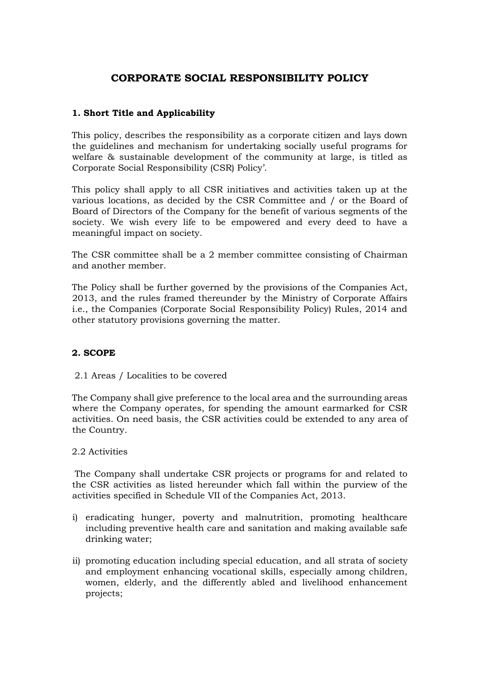# **CORPORATE SOCIAL RESPONSIBILITY POLICY**

# **1. Short Title and Applicability**

This policy, describes the responsibility as a corporate citizen and lays down the guidelines and mechanism for undertaking socially useful programs for welfare & sustainable development of the community at large, is titled as Corporate Social Responsibility (CSR) Policy'.

This policy shall apply to all CSR initiatives and activities taken up at the various locations, as decided by the CSR Committee and / or the Board of Board of Directors of the Company for the benefit of various segments of the society. We wish every life to be empowered and every deed to have a meaningful impact on society.

The CSR committee shall be a 2 member committee consisting of Chairman and another member.

The Policy shall be further governed by the provisions of the Companies Act, 2013, and the rules framed thereunder by the Ministry of Corporate Affairs i.e., the Companies (Corporate Social Responsibility Policy) Rules, 2014 and other statutory provisions governing the matter.

## **2. SCOPE**

#### 2.1 Areas / Localities to be covered

The Company shall give preference to the local area and the surrounding areas where the Company operates, for spending the amount earmarked for CSR activities. On need basis, the CSR activities could be extended to any area of the Country.

#### 2.2 Activities

The Company shall undertake CSR projects or programs for and related to the CSR activities as listed hereunder which fall within the purview of the activities specified in Schedule VII of the Companies Act, 2013.

- i) eradicating hunger, poverty and malnutrition, promoting healthcare including preventive health care and sanitation and making available safe drinking water;
- ii) promoting education including special education, and all strata of society and employment enhancing vocational skills, especially among children, women, elderly, and the differently abled and livelihood enhancement projects;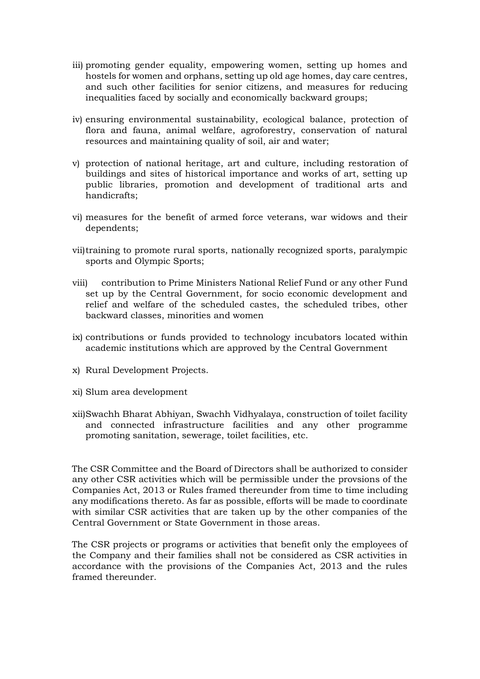- iii) promoting gender equality, empowering women, setting up homes and hostels for women and orphans, setting up old age homes, day care centres, and such other facilities for senior citizens, and measures for reducing inequalities faced by socially and economically backward groups;
- iv) ensuring environmental sustainability, ecological balance, protection of flora and fauna, animal welfare, agroforestry, conservation of natural resources and maintaining quality of soil, air and water;
- v) protection of national heritage, art and culture, including restoration of buildings and sites of historical importance and works of art, setting up public libraries, promotion and development of traditional arts and handicrafts;
- vi) measures for the benefit of armed force veterans, war widows and their dependents;
- vii)training to promote rural sports, nationally recognized sports, paralympic sports and Olympic Sports;
- viii) contribution to Prime Ministers National Relief Fund or any other Fund set up by the Central Government, for socio economic development and relief and welfare of the scheduled castes, the scheduled tribes, other backward classes, minorities and women
- ix) contributions or funds provided to technology incubators located within academic institutions which are approved by the Central Government
- x) Rural Development Projects.
- xi) Slum area development
- xii)Swachh Bharat Abhiyan, Swachh Vidhyalaya, construction of toilet facility and connected infrastructure facilities and any other programme promoting sanitation, sewerage, toilet facilities, etc.

The CSR Committee and the Board of Directors shall be authorized to consider any other CSR activities which will be permissible under the provsions of the Companies Act, 2013 or Rules framed thereunder from time to time including any modifications thereto. As far as possible, efforts will be made to coordinate with similar CSR activities that are taken up by the other companies of the Central Government or State Government in those areas.

The CSR projects or programs or activities that benefit only the employees of the Company and their families shall not be considered as CSR activities in accordance with the provisions of the Companies Act, 2013 and the rules framed thereunder.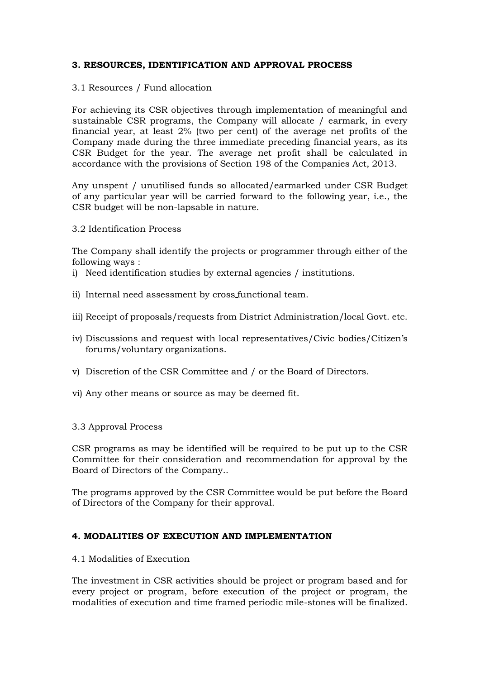# **3. RESOURCES, IDENTIFICATION AND APPROVAL PROCESS**

# 3.1 Resources / Fund allocation

For achieving its CSR objectives through implementation of meaningful and sustainable CSR programs, the Company will allocate / earmark, in every financial year, at least 2% (two per cent) of the average net profits of the Company made during the three immediate preceding financial years, as its CSR Budget for the year. The average net profit shall be calculated in accordance with the provisions of Section 198 of the Companies Act, 2013.

Any unspent / unutilised funds so allocated/earmarked under CSR Budget of any particular year will be carried forward to the following year, i.e., the CSR budget will be non-lapsable in nature.

3.2 Identification Process

The Company shall identify the projects or programmer through either of the following ways :

- i) Need identification studies by external agencies / institutions.
- ii) Internal need assessment by cross functional team.
- iii) Receipt of proposals/requests from District Administration/local Govt. etc.
- iv) Discussions and request with local representatives/Civic bodies/Citizen's forums/voluntary organizations.
- v) Discretion of the CSR Committee and / or the Board of Directors.
- vi) Any other means or source as may be deemed fit.
- 3.3 Approval Process

CSR programs as may be identified will be required to be put up to the CSR Committee for their consideration and recommendation for approval by the Board of Directors of the Company..

The programs approved by the CSR Committee would be put before the Board of Directors of the Company for their approval.

## **4. MODALITIES OF EXECUTION AND IMPLEMENTATION**

#### 4.1 Modalities of Execution

The investment in CSR activities should be project or program based and for every project or program, before execution of the project or program, the modalities of execution and time framed periodic mile-stones will be finalized.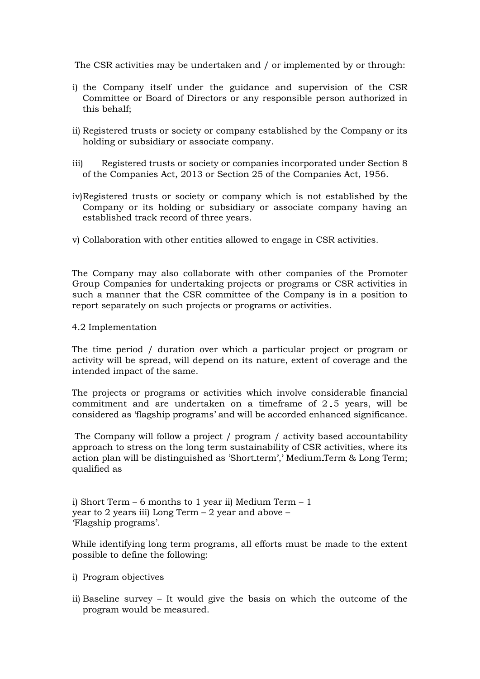The CSR activities may be undertaken and / or implemented by or through:

- i) the Company itself under the guidance and supervision of the CSR Committee or Board of Directors or any responsible person authorized in this behalf;
- ii) Registered trusts or society or company established by the Company or its holding or subsidiary or associate company.
- iii) Registered trusts or society or companies incorporated under Section 8 of the Companies Act, 2013 or Section 25 of the Companies Act, 1956.
- iv)Registered trusts or society or company which is not established by the Company or its holding or subsidiary or associate company having an established track record of three years.
- v) Collaboration with other entities allowed to engage in CSR activities.

The Company may also collaborate with other companies of the Promoter Group Companies for undertaking projects or programs or CSR activities in such a manner that the CSR committee of the Company is in a position to report separately on such projects or programs or activities.

4.2 Implementation

The time period / duration over which a particular project or program or activity will be spread, will depend on its nature, extent of coverage and the intended impact of the same.

The projects or programs or activities which involve considerable financial commitment and are undertaken on a timeframe of 2 5 years, will be considered as 'flagship programs' and will be accorded enhanced significance.

The Company will follow a project / program / activity based accountability approach to stress on the long term sustainability of CSR activities, where its action plan will be distinguished as 'Short term',' Medium Term & Long Term; qualified as

i) Short Term – 6 months to 1 year ii) Medium Term –  $1$ year to 2 years iii) Long Term – 2 year and above – 'Flagship programs'.

While identifying long term programs, all efforts must be made to the extent possible to define the following:

- i) Program objectives
- ii) Baseline survey It would give the basis on which the outcome of the program would be measured.